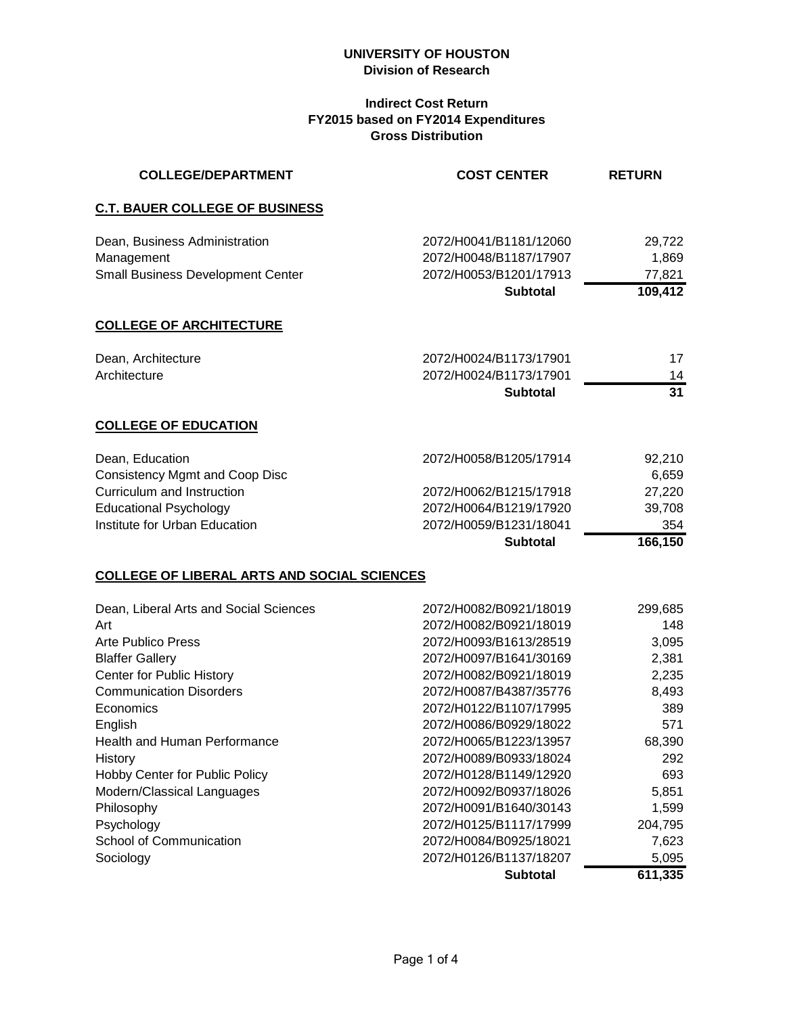#### **Indirect Cost Return FY2015 based on FY2014 Expenditures Gross Distribution**

| <b>COLLEGE/DEPARTMENT</b>                          | <b>COST CENTER</b>     | <b>RETURN</b>   |
|----------------------------------------------------|------------------------|-----------------|
| <b>C.T. BAUER COLLEGE OF BUSINESS</b>              |                        |                 |
| Dean, Business Administration                      | 2072/H0041/B1181/12060 | 29,722          |
| Management                                         | 2072/H0048/B1187/17907 | 1,869           |
| <b>Small Business Development Center</b>           | 2072/H0053/B1201/17913 | 77,821          |
|                                                    | <b>Subtotal</b>        | 109,412         |
| <b>COLLEGE OF ARCHITECTURE</b>                     |                        |                 |
| Dean, Architecture                                 | 2072/H0024/B1173/17901 | 17              |
| Architecture                                       | 2072/H0024/B1173/17901 | 14              |
|                                                    | <b>Subtotal</b>        | $\overline{31}$ |
| <b>COLLEGE OF EDUCATION</b>                        |                        |                 |
| Dean, Education                                    | 2072/H0058/B1205/17914 | 92,210          |
| <b>Consistency Mgmt and Coop Disc</b>              |                        | 6,659           |
| Curriculum and Instruction                         | 2072/H0062/B1215/17918 | 27,220          |
| <b>Educational Psychology</b>                      | 2072/H0064/B1219/17920 | 39,708          |
| Institute for Urban Education                      | 2072/H0059/B1231/18041 | 354             |
|                                                    | <b>Subtotal</b>        | 166,150         |
| <b>COLLEGE OF LIBERAL ARTS AND SOCIAL SCIENCES</b> |                        |                 |
| Dean, Liberal Arts and Social Sciences             | 2072/H0082/B0921/18019 | 299,685         |
| Art                                                | 2072/H0082/B0921/18019 | 148             |
| <b>Arte Publico Press</b>                          | 2072/H0093/B1613/28519 | 3,095           |
| <b>Blaffer Gallery</b>                             | 2072/H0097/B1641/30169 | 2,381           |
| Center for Public History                          | 2072/H0082/B0921/18019 | 2,235           |
| <b>Communication Disorders</b>                     | 2072/H0087/B4387/35776 | 8,493           |
| Economics                                          | 2072/H0122/B1107/17995 | 389             |
| English                                            | 2072/H0086/B0929/18022 | 571             |
| Health and Human Performance                       | 2072/H0065/B1223/13957 | 68,390          |
| History                                            | 2072/H0089/B0933/18024 | 292             |
| Hobby Center for Public Policy                     | 2072/H0128/B1149/12920 | 693             |
| Modern/Classical Languages                         | 2072/H0092/B0937/18026 | 5,851           |
| Philosophy                                         | 2072/H0091/B1640/30143 | 1,599           |
| Psychology                                         | 2072/H0125/B1117/17999 | 204,795         |
| School of Communication                            | 2072/H0084/B0925/18021 | 7,623           |
| Sociology                                          | 2072/H0126/B1137/18207 | 5,095           |

**Subtotal 611,335**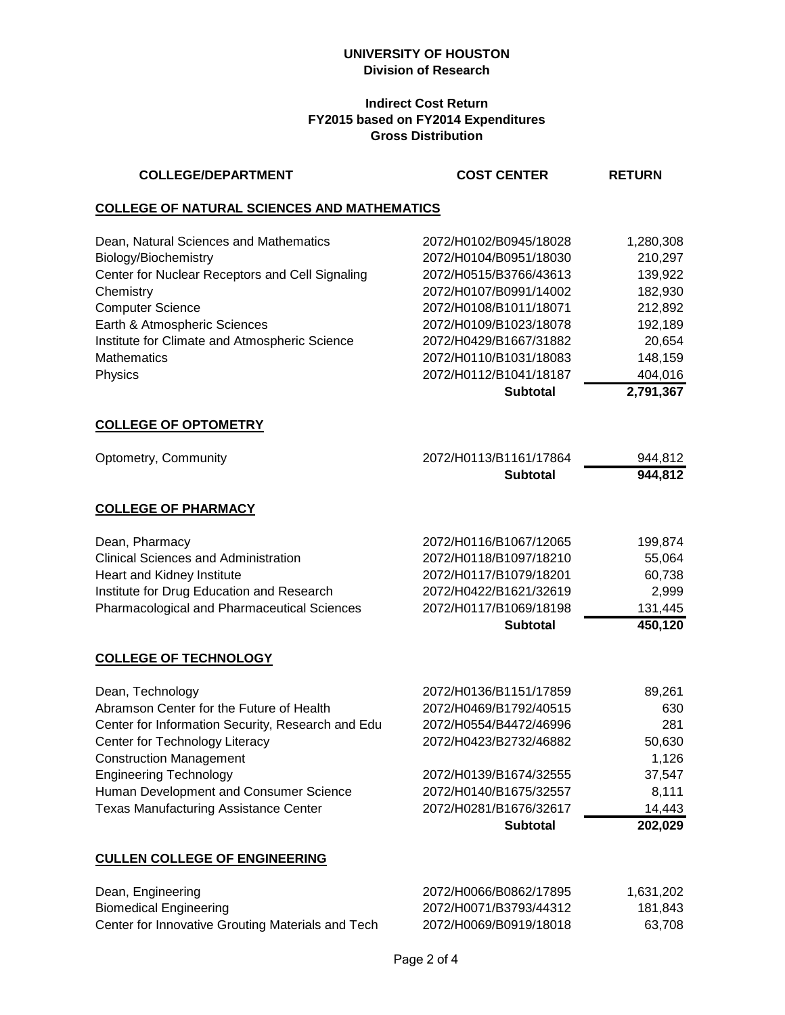## **Indirect Cost Return FY2015 based on FY2014 Expenditures Gross Distribution**

| <b>COLLEGE/DEPARTMENT</b>                                                                                                                                                                                                                                                                                        | <b>COST CENTER</b>                                                                                                                                                                                                                                        | <b>RETURN</b>                                                                                                 |
|------------------------------------------------------------------------------------------------------------------------------------------------------------------------------------------------------------------------------------------------------------------------------------------------------------------|-----------------------------------------------------------------------------------------------------------------------------------------------------------------------------------------------------------------------------------------------------------|---------------------------------------------------------------------------------------------------------------|
| <b>COLLEGE OF NATURAL SCIENCES AND MATHEMATICS</b>                                                                                                                                                                                                                                                               |                                                                                                                                                                                                                                                           |                                                                                                               |
| Dean, Natural Sciences and Mathematics<br>Biology/Biochemistry<br>Center for Nuclear Receptors and Cell Signaling<br>Chemistry<br><b>Computer Science</b><br>Earth & Atmospheric Sciences<br>Institute for Climate and Atmospheric Science<br><b>Mathematics</b><br>Physics                                      | 2072/H0102/B0945/18028<br>2072/H0104/B0951/18030<br>2072/H0515/B3766/43613<br>2072/H0107/B0991/14002<br>2072/H0108/B1011/18071<br>2072/H0109/B1023/18078<br>2072/H0429/B1667/31882<br>2072/H0110/B1031/18083<br>2072/H0112/B1041/18187<br><b>Subtotal</b> | 1,280,308<br>210,297<br>139,922<br>182,930<br>212,892<br>192,189<br>20,654<br>148,159<br>404,016<br>2,791,367 |
| <b>COLLEGE OF OPTOMETRY</b>                                                                                                                                                                                                                                                                                      |                                                                                                                                                                                                                                                           |                                                                                                               |
| Optometry, Community                                                                                                                                                                                                                                                                                             | 2072/H0113/B1161/17864<br><b>Subtotal</b>                                                                                                                                                                                                                 | 944,812<br>944,812                                                                                            |
| <b>COLLEGE OF PHARMACY</b>                                                                                                                                                                                                                                                                                       |                                                                                                                                                                                                                                                           |                                                                                                               |
| Dean, Pharmacy<br><b>Clinical Sciences and Administration</b><br>Heart and Kidney Institute<br>Institute for Drug Education and Research<br>Pharmacological and Pharmaceutical Sciences                                                                                                                          | 2072/H0116/B1067/12065<br>2072/H0118/B1097/18210<br>2072/H0117/B1079/18201<br>2072/H0422/B1621/32619<br>2072/H0117/B1069/18198<br><b>Subtotal</b>                                                                                                         | 199,874<br>55,064<br>60,738<br>2,999<br>131,445<br>450,120                                                    |
| <b>COLLEGE OF TECHNOLOGY</b>                                                                                                                                                                                                                                                                                     |                                                                                                                                                                                                                                                           |                                                                                                               |
| Dean, Technology<br>Abramson Center for the Future of Health<br>Center for Information Security, Research and Edu<br>Center for Technology Literacy<br><b>Construction Management</b><br><b>Engineering Technology</b><br>Human Development and Consumer Science<br><b>Texas Manufacturing Assistance Center</b> | 2072/H0136/B1151/17859<br>2072/H0469/B1792/40515<br>2072/H0554/B4472/46996<br>2072/H0423/B2732/46882<br>2072/H0139/B1674/32555<br>2072/H0140/B1675/32557<br>2072/H0281/B1676/32617<br><b>Subtotal</b>                                                     | 89,261<br>630<br>281<br>50,630<br>1,126<br>37,547<br>8,111<br>14,443<br>202,029                               |
| <b>CULLEN COLLEGE OF ENGINEERING</b>                                                                                                                                                                                                                                                                             |                                                                                                                                                                                                                                                           |                                                                                                               |

| Dean, Engineering                                 | 2072/H0066/B0862/17895 | 1.631.202 |
|---------------------------------------------------|------------------------|-----------|
| Biomedical Engineering                            | 2072/H0071/B3793/44312 | 181.843   |
| Center for Innovative Grouting Materials and Tech | 2072/H0069/B0919/18018 | 63.708    |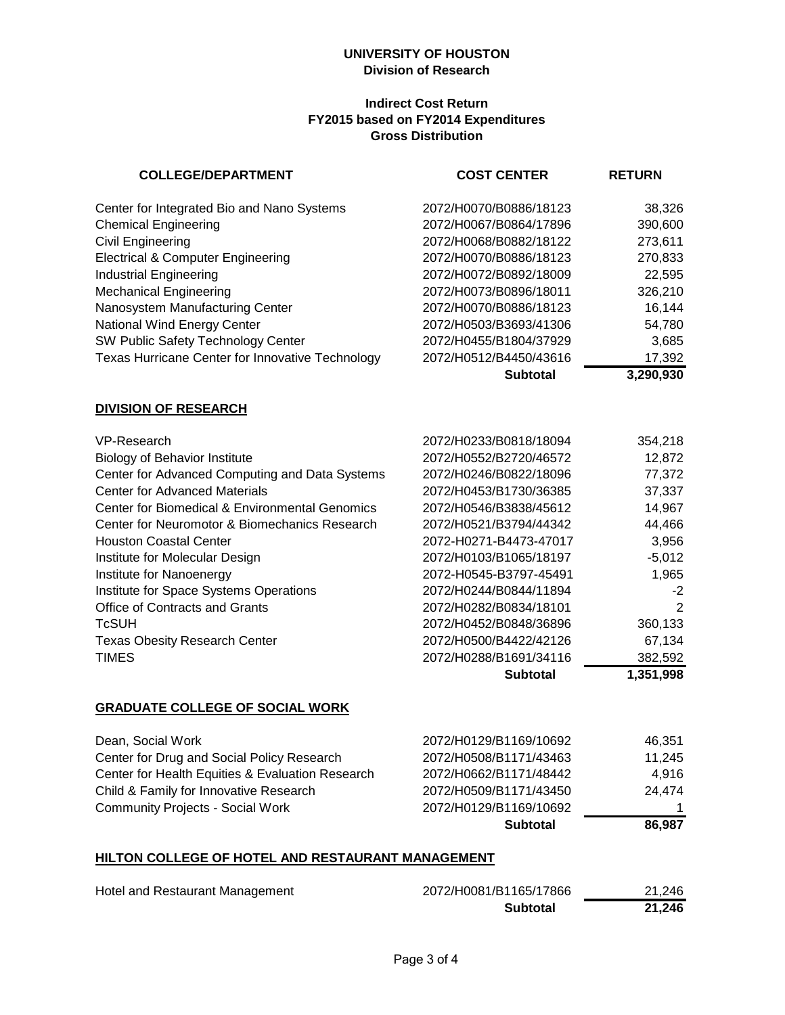#### **Indirect Cost Return FY2015 based on FY2014 Expenditures Gross Distribution**

| <b>COLLEGE/DEPARTMENT</b>                        | <b>COST CENTER</b>     | <b>RETURN</b>  |
|--------------------------------------------------|------------------------|----------------|
| Center for Integrated Bio and Nano Systems       | 2072/H0070/B0886/18123 | 38,326         |
| <b>Chemical Engineering</b>                      | 2072/H0067/B0864/17896 | 390,600        |
| Civil Engineering                                | 2072/H0068/B0882/18122 | 273,611        |
| <b>Electrical &amp; Computer Engineering</b>     | 2072/H0070/B0886/18123 | 270,833        |
| <b>Industrial Engineering</b>                    | 2072/H0072/B0892/18009 | 22,595         |
| <b>Mechanical Engineering</b>                    | 2072/H0073/B0896/18011 | 326,210        |
| Nanosystem Manufacturing Center                  | 2072/H0070/B0886/18123 | 16,144         |
| National Wind Energy Center                      | 2072/H0503/B3693/41306 | 54,780         |
| SW Public Safety Technology Center               | 2072/H0455/B1804/37929 | 3,685          |
| Texas Hurricane Center for Innovative Technology | 2072/H0512/B4450/43616 | 17,392         |
|                                                  | <b>Subtotal</b>        | 3,290,930      |
| <b>DIVISION OF RESEARCH</b>                      |                        |                |
| VP-Research                                      | 2072/H0233/B0818/18094 | 354,218        |
| <b>Biology of Behavior Institute</b>             | 2072/H0552/B2720/46572 | 12,872         |
| Center for Advanced Computing and Data Systems   | 2072/H0246/B0822/18096 | 77,372         |
| <b>Center for Advanced Materials</b>             | 2072/H0453/B1730/36385 | 37,337         |
| Center for Biomedical & Environmental Genomics   | 2072/H0546/B3838/45612 | 14,967         |
| Center for Neuromotor & Biomechanics Research    | 2072/H0521/B3794/44342 | 44,466         |
| <b>Houston Coastal Center</b>                    | 2072-H0271-B4473-47017 | 3,956          |
| Institute for Molecular Design                   | 2072/H0103/B1065/18197 | $-5,012$       |
| Institute for Nanoenergy                         | 2072-H0545-B3797-45491 | 1,965          |
| Institute for Space Systems Operations           | 2072/H0244/B0844/11894 | -2             |
| Office of Contracts and Grants                   | 2072/H0282/B0834/18101 | $\overline{2}$ |
| <b>TcSUH</b>                                     | 2072/H0452/B0848/36896 | 360,133        |
| <b>Texas Obesity Research Center</b>             | 2072/H0500/B4422/42126 | 67,134         |
| <b>TIMES</b>                                     | 2072/H0288/B1691/34116 | 382,592        |
|                                                  | <b>Subtotal</b>        | 1,351,998      |
| <b>GRADUATE COLLEGE OF SOCIAL WORK</b>           |                        |                |
| Dean, Social Work                                | 2072/H0129/B1169/10692 | 46,351         |
| Center for Drug and Social Policy Research       | 2072/H0508/B1171/43463 | 11,245         |
| Center for Health Equities & Evaluation Research | 2072/H0662/B1171/48442 | 4,916          |
| Child & Family for Innovative Research           | 2072/H0509/B1171/43450 | 24,474         |

# **HILTON COLLEGE OF HOTEL AND RESTAURANT MANAGEMENT**

Community Projects - Social Work 2072/H0129/B1169/10692

| Hotel and Restaurant Management | 2072/H0081/B1165/17866 | 21.246 |
|---------------------------------|------------------------|--------|
|                                 | <b>Subtotal</b>        | 21,246 |

**Subtotal 86,987**